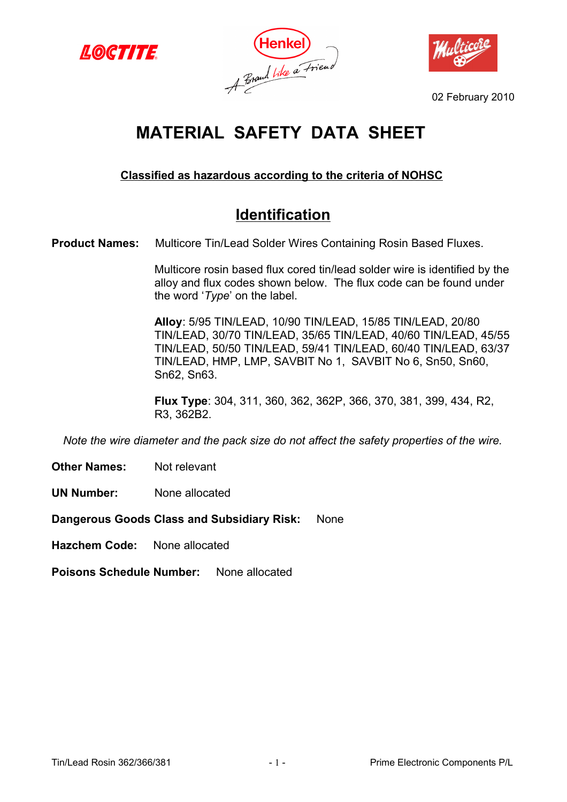





02 February 2010

# **MATERIAL SAFETY DATA SHEET**

### **Classified as hazardous according to the criteria of NOHSC**

## **Identification**

**Product Names:** Multicore Tin/Lead Solder Wires Containing Rosin Based Fluxes.

Multicore rosin based flux cored tin/lead solder wire is identified by the alloy and flux codes shown below. The flux code can be found under the word '*Type*' on the label.

**Alloy**: 5/95 TIN/LEAD, 10/90 TIN/LEAD, 15/85 TIN/LEAD, 20/80 TIN/LEAD, 30/70 TIN/LEAD, 35/65 TIN/LEAD, 40/60 TIN/LEAD, 45/55 TIN/LEAD, 50/50 TIN/LEAD, 59/41 TIN/LEAD, 60/40 TIN/LEAD, 63/37 TIN/LEAD, HMP, LMP, SAVBIT No 1, SAVBIT No 6, Sn50, Sn60, Sn62, Sn63.

**Flux Type**: 304, 311, 360, 362, 362P, 366, 370, 381, 399, 434, R2, R3, 362B2.

*Note the wire diameter and the pack size do not affect the safety properties of the wire.*

**Other Names:** Not relevant

**UN Number:** None allocated

**Dangerous Goods Class and Subsidiary Risk:** None

**Hazchem Code:** None allocated

**Poisons Schedule Number:** None allocated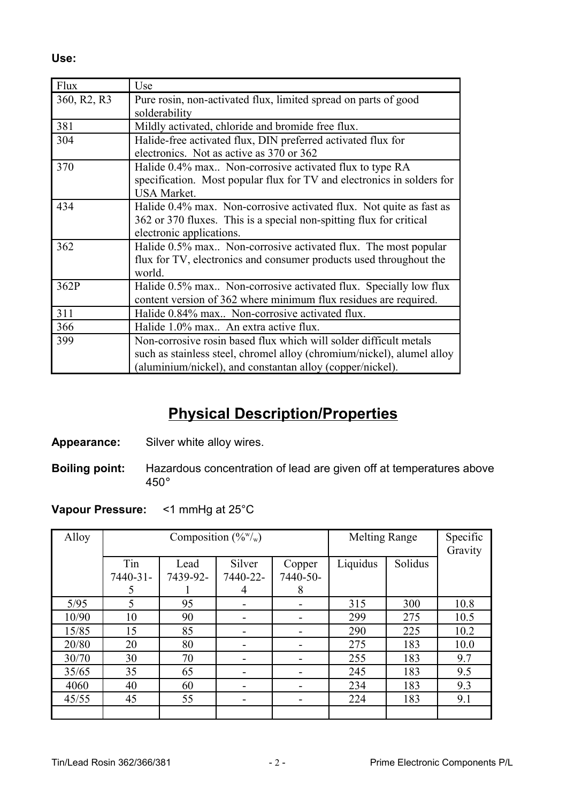**Use:**

| Flux                                 | Use                                                                    |  |  |  |  |  |  |
|--------------------------------------|------------------------------------------------------------------------|--|--|--|--|--|--|
| 360, R <sub>2</sub> , R <sub>3</sub> | Pure rosin, non-activated flux, limited spread on parts of good        |  |  |  |  |  |  |
|                                      | solderability                                                          |  |  |  |  |  |  |
| 381                                  | Mildly activated, chloride and bromide free flux.                      |  |  |  |  |  |  |
| 304                                  | Halide-free activated flux, DIN preferred activated flux for           |  |  |  |  |  |  |
|                                      | electronics. Not as active as 370 or 362                               |  |  |  |  |  |  |
| 370                                  | Halide 0.4% max Non-corrosive activated flux to type RA                |  |  |  |  |  |  |
|                                      | specification. Most popular flux for TV and electronics in solders for |  |  |  |  |  |  |
|                                      | <b>USA Market.</b>                                                     |  |  |  |  |  |  |
| 434                                  | Halide 0.4% max. Non-corrosive activated flux. Not quite as fast as    |  |  |  |  |  |  |
|                                      | 362 or 370 fluxes. This is a special non-spitting flux for critical    |  |  |  |  |  |  |
|                                      | electronic applications.                                               |  |  |  |  |  |  |
| 362                                  | Halide 0.5% max Non-corrosive activated flux. The most popular         |  |  |  |  |  |  |
|                                      | flux for TV, electronics and consumer products used throughout the     |  |  |  |  |  |  |
|                                      | world.                                                                 |  |  |  |  |  |  |
| 362P                                 | Halide 0.5% max Non-corrosive activated flux. Specially low flux       |  |  |  |  |  |  |
|                                      | content version of 362 where minimum flux residues are required.       |  |  |  |  |  |  |
| 311                                  | Halide 0.84% max Non-corrosive activated flux.                         |  |  |  |  |  |  |
| 366                                  | Halide 1.0% max An extra active flux.                                  |  |  |  |  |  |  |
| 399                                  | Non-corrosive rosin based flux which will solder difficult metals      |  |  |  |  |  |  |
|                                      | such as stainless steel, chromel alloy (chromium/nickel), alumel alloy |  |  |  |  |  |  |
|                                      | (aluminium/nickel), and constantan alloy (copper/nickel).              |  |  |  |  |  |  |

## **Physical Description/Properties**

- **Appearance:** Silver white alloy wires.
- **Boiling point:** Hazardous concentration of lead are given off at temperatures above 450°

#### **Vapour Pressure:** <1 mmHg at 25°C

| Alloy | Composition $(\%^w)_w$ ) |                  |          |                              | <b>Melting Range</b> |         | Specific |
|-------|--------------------------|------------------|----------|------------------------------|----------------------|---------|----------|
|       | Tin<br>Silver            |                  |          |                              | Liquidus             | Solidus | Gravity  |
|       | 7440-31-                 | Lead<br>7439-92- | 7440-22- | Copper<br>7440-50-           |                      |         |          |
|       | 5                        |                  | 4        | 8                            |                      |         |          |
| 5/95  | 5                        | 95               | -        | -                            | 315                  | 300     | 10.8     |
| 10/90 | 10                       | 90               |          | $\qquad \qquad \blacksquare$ | 299                  | 275     | 10.5     |
| 15/85 | 15                       | 85               |          |                              | 290                  | 225     | 10.2     |
| 20/80 | 20                       | 80               |          | -                            | 275                  | 183     | 10.0     |
| 30/70 | 30                       | 70               |          |                              | 255                  | 183     | 9.7      |
| 35/65 | 35                       | 65               |          |                              | 245                  | 183     | 9.5      |
| 4060  | 40                       | 60               |          | -                            | 234                  | 183     | 9.3      |
| 45/55 | 45                       | 55               |          | -                            | 224                  | 183     | 9.1      |
|       |                          |                  |          |                              |                      |         |          |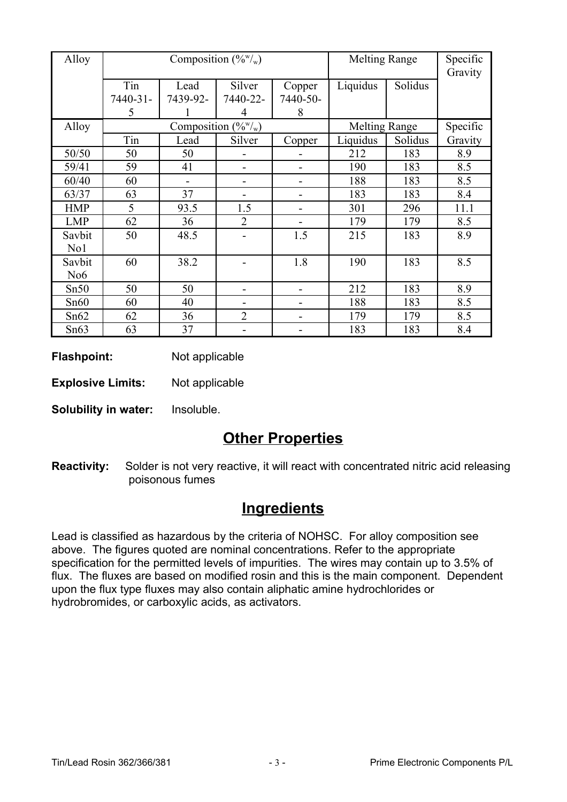| Alloy            |                               |                  | Composition $(\frac{6}{w})_w$ | <b>Melting Range</b>         |                      | Specific<br>Gravity |          |
|------------------|-------------------------------|------------------|-------------------------------|------------------------------|----------------------|---------------------|----------|
|                  | Tin<br>7440-31-               | Lead<br>7439-92- | Silver<br>7440-22-            | Copper<br>7440-50-           | Liquidus             | Solidus             |          |
|                  | 5                             |                  | 4                             | 8                            |                      |                     |          |
| Alloy            | Composition $(\frac{6}{w})_w$ |                  |                               |                              | <b>Melting Range</b> |                     | Specific |
|                  | Tin                           | Lead             | Silver                        | Copper                       | Liquidus             | Solidus             | Gravity  |
| 50/50            | 50                            | 50               |                               |                              | 212                  | 183                 | 8.9      |
| 59/41            | 59                            | 41               |                               |                              | 190                  | 183                 | 8.5      |
| 60/40            | 60                            | $\blacksquare$   | -                             | $\qquad \qquad \blacksquare$ | 188                  | 183                 | 8.5      |
| 63/37            | 63                            | 37               |                               |                              | 183                  | 183                 | 8.4      |
| <b>HMP</b>       | 5                             | 93.5             | 1.5                           |                              | 301                  | 296                 | 11.1     |
| <b>LMP</b>       | 62                            | 36               | $\overline{2}$                |                              | 179                  | 179                 | 8.5      |
| Savbit           | 50                            | 48.5             |                               | 1.5                          | 215                  | 183                 | 8.9      |
| No1              |                               |                  |                               |                              |                      |                     |          |
| Savbit           | 60                            | 38.2             |                               | 1.8                          | 190                  | 183                 | 8.5      |
| N <sub>o</sub> 6 |                               |                  |                               |                              |                      |                     |          |
| Sn50             | 50                            | 50               |                               |                              | 212                  | 183                 | 8.9      |
| Sn60             | 60                            | 40               |                               | -                            | 188                  | 183                 | 8.5      |
| Sn62             | 62                            | 36               | $\overline{2}$                |                              | 179                  | 179                 | 8.5      |
| Sn63             | 63                            | 37               |                               |                              | 183                  | 183                 | 8.4      |

**Flashpoint:** Not applicable

**Explosive Limits:** Not applicable

**Solubility in water:** Insoluble.

## **Other Properties**

**Reactivity:** Solder is not very reactive, it will react with concentrated nitric acid releasing poisonous fumes

## **Ingredients**

Lead is classified as hazardous by the criteria of NOHSC. For alloy composition see above. The figures quoted are nominal concentrations. Refer to the appropriate specification for the permitted levels of impurities. The wires may contain up to 3.5% of flux. The fluxes are based on modified rosin and this is the main component. Dependent upon the flux type fluxes may also contain aliphatic amine hydrochlorides or hydrobromides, or carboxylic acids, as activators.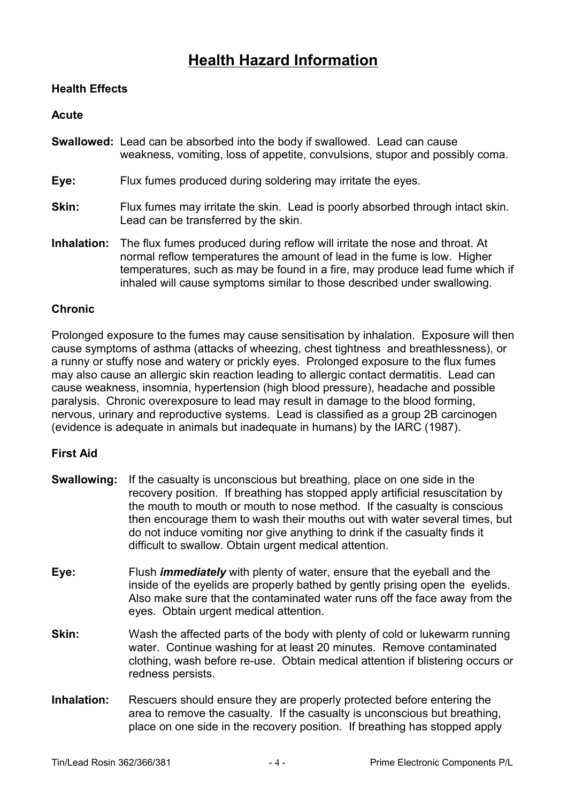## **Health Hazard Information**

#### **Health Effects**

#### **Acute**

- **Swallowed:** Lead can be absorbed into the body if swallowed. Lead can cause weakness, vomiting, loss of appetite, convulsions, stupor and possibly coma.
- **Eye:** Flux fumes produced during soldering may irritate the eyes.
- **Skin:** Flux fumes may irritate the skin. Lead is poorly absorbed through intact skin. Lead can be transferred by the skin.
- **Inhalation:** The flux fumes produced during reflow will irritate the nose and throat. At normal reflow temperatures the amount of lead in the fume is low. Higher temperatures, such as may be found in a fire, may produce lead fume which if inhaled will cause symptoms similar to those described under swallowing.

#### **Chronic**

Prolonged exposure to the fumes may cause sensitisation by inhalation. Exposure will then cause symptoms of asthma (attacks of wheezing, chest tightness and breathlessness), or a runny or stuffy nose and watery or prickly eyes. Prolonged exposure to the flux fumes may also cause an allergic skin reaction leading to allergic contact dermatitis. Lead can cause weakness, insomnia, hypertension (high blood pressure), headache and possible paralysis. Chronic overexposure to lead may result in damage to the blood forming, nervous, urinary and reproductive systems. Lead is classified as a group 2B carcinogen (evidence is adequate in animals but inadequate in humans) by the IARC (1987).

#### **First Aid**

- **Swallowing:** If the casualty is unconscious but breathing, place on one side in the recovery position. If breathing has stopped apply artificial resuscitation by the mouth to mouth or mouth to nose method. If the casualty is conscious then encourage them to wash their mouths out with water several times, but do not induce vomiting nor give anything to drink if the casualty finds it difficult to swallow. Obtain urgent medical attention.
- **Eye:** Flush *immediately* with plenty of water, ensure that the eyeball and the inside of the eyelids are properly bathed by gently prising open the eyelids. Also make sure that the contaminated water runs off the face away from the eyes. Obtain urgent medical attention.
- **Skin:** Wash the affected parts of the body with plenty of cold or lukewarm running water. Continue washing for at least 20 minutes. Remove contaminated clothing, wash before re-use. Obtain medical attention if blistering occurs or redness persists.
- **Inhalation:** Rescuers should ensure they are properly protected before entering the area to remove the casualty. If the casualty is unconscious but breathing, place on one side in the recovery position. If breathing has stopped apply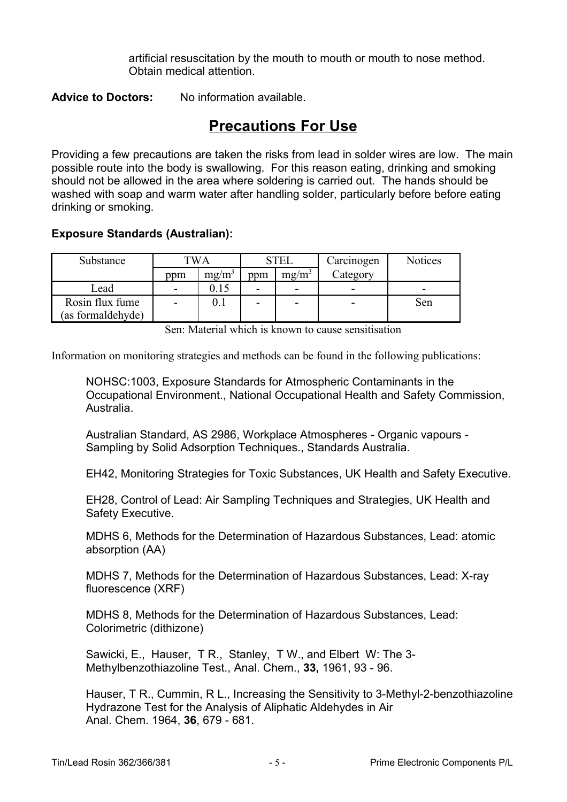artificial resuscitation by the mouth to mouth or mouth to nose method. Obtain medical attention.

**Advice to Doctors:** No information available.

## **Precautions For Use**

Providing a few precautions are taken the risks from lead in solder wires are low. The main possible route into the body is swallowing. For this reason eating, drinking and smoking should not be allowed in the area where soldering is carried out. The hands should be washed with soap and warm water after handling solder, particularly before before eating drinking or smoking.

#### **Exposure Standards (Australian):**

| Substance         | [WA |                   | STEI |                   | Carcinogen | <b>Notices</b> |
|-------------------|-----|-------------------|------|-------------------|------------|----------------|
|                   | ppm | mg/m <sup>3</sup> | ppm  | mg/m <sup>3</sup> | Category   |                |
| Lead              | -   |                   |      | -                 | -          | -              |
| Rosin flux fume   |     |                   |      | -                 |            | Sen            |
| (as formaldehyde) |     |                   |      |                   |            |                |

Sen: Material which is known to cause sensitisation

Information on monitoring strategies and methods can be found in the following publications:

NOHSC:1003, Exposure Standards for Atmospheric Contaminants in the Occupational Environment., National Occupational Health and Safety Commission, Australia.

Australian Standard, AS 2986, Workplace Atmospheres - Organic vapours - Sampling by Solid Adsorption Techniques., Standards Australia.

EH42, Monitoring Strategies for Toxic Substances, UK Health and Safety Executive.

EH28, Control of Lead: Air Sampling Techniques and Strategies, UK Health and Safety Executive.

MDHS 6, Methods for the Determination of Hazardous Substances, Lead: atomic absorption (AA)

MDHS 7, Methods for the Determination of Hazardous Substances, Lead: X-ray fluorescence (XRF)

MDHS 8, Methods for the Determination of Hazardous Substances, Lead: Colorimetric (dithizone)

Sawicki, E., Hauser, T R., Stanley, T W., and Elbert W: The 3- Methylbenzothiazoline Test., Anal. Chem., **33,** 1961, 93 - 96.

Hauser, T R., Cummin, R L., Increasing the Sensitivity to 3-Methyl-2-benzothiazoline Hydrazone Test for the Analysis of Aliphatic Aldehydes in Air Anal. Chem. 1964, **36**, 679 - 681.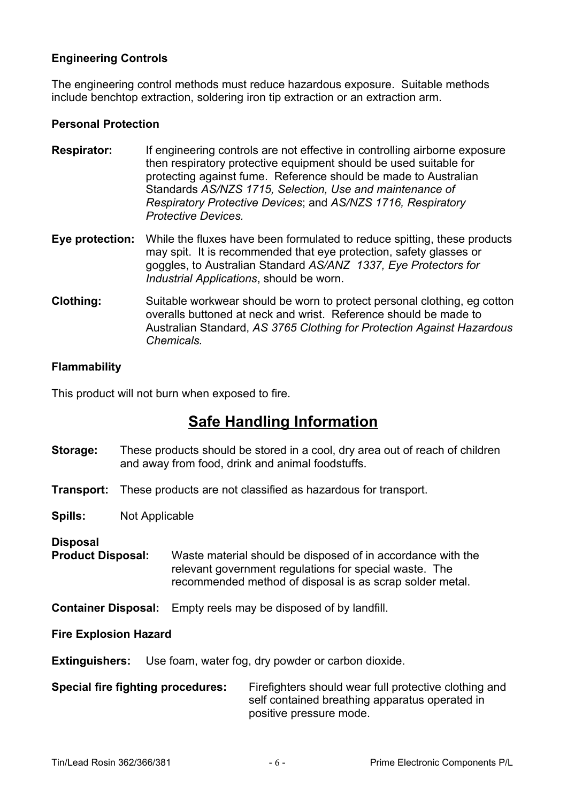#### **Engineering Controls**

The engineering control methods must reduce hazardous exposure. Suitable methods include benchtop extraction, soldering iron tip extraction or an extraction arm.

#### **Personal Protection**

- **Respirator:** If engineering controls are not effective in controlling airborne exposure then respiratory protective equipment should be used suitable for protecting against fume. Reference should be made to Australian Standards *AS/NZS 1715, Selection, Use and maintenance of Respiratory Protective Devices*; and *AS/NZS 1716, Respiratory Protective Devices.*
- **Eye protection:** While the fluxes have been formulated to reduce spitting, these products may spit. It is recommended that eye protection, safety glasses or goggles, to Australian Standard *AS/ANZ 1337, Eye Protectors for Industrial Applications*, should be worn.
- **Clothing:** Suitable workwear should be worn to protect personal clothing, eg cotton overalls buttoned at neck and wrist. Reference should be made to Australian Standard, *AS 3765 Clothing for Protection Against Hazardous Chemicals.*

#### **Flammability**

This product will not burn when exposed to fire.

## **Safe Handling Information**

- **Storage:** These products should be stored in a cool, dry area out of reach of children and away from food, drink and animal foodstuffs.
- **Transport:** These products are not classified as hazardous for transport.

**Spills:** Not Applicable

**Disposal**

**Product Disposal:** Waste material should be disposed of in accordance with the relevant government regulations for special waste. The recommended method of disposal is as scrap solder metal.

**Container Disposal:** Empty reels may be disposed of by landfill.

**Fire Explosion Hazard**

**Extinguishers:** Use foam, water fog, dry powder or carbon dioxide.

**Special fire fighting procedures:** Firefighters should wear full protective clothing and self contained breathing apparatus operated in positive pressure mode.